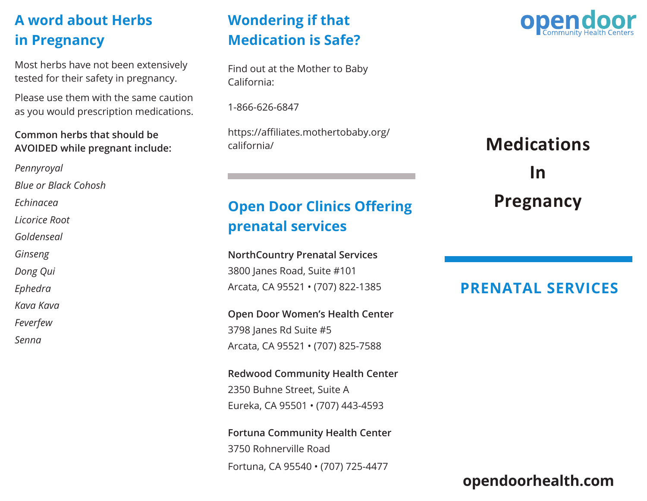# **A word about Herbs in Pregnancy**

Most herbs have not been extensively tested for their safety in pregnancy.

Please use them with the same caution as you would prescription medications.

#### **Common herbs that should be AVOIDED while pregnant include:**

*Pennyroyal Blue or Black Cohosh Echinacea Licorice Root Goldenseal Ginseng Dong Qui Ephedra Kava Kava Feverfew*

*Senna*

## **Wondering if that Medication is Safe?**

Find out at the Mother to Baby California:

1-866-626-6847

https://affiliates.mothertobaby.org/ california/

# **Open Door Clinics Offering prenatal services**

**NorthCountry Prenatal Services** 3800 Janes Road, Suite #101 Arcata, CA 95521 • (707) 822-1385

**Open Door Women's Health Center** 3798 Janes Rd Suite #5 Arcata, CA 95521 • (707) 825-7588

**Redwood Community Health Center** 2350 Buhne Street, Suite A Eureka, CA 95501 • (707) 443-4593

**Fortuna Community Health Center**  3750 Rohnerville Road Fortuna, CA 95540 • (707) 725-4477



# **Medications In Pregnancy**

### **PRENATAL SERVICES**

### **opendoorhealth.com**